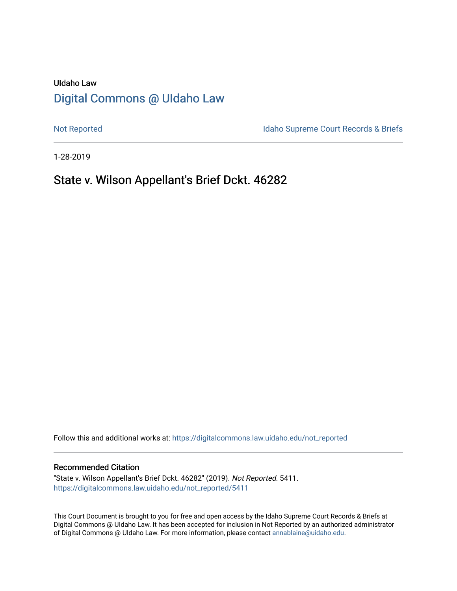# UIdaho Law [Digital Commons @ UIdaho Law](https://digitalcommons.law.uidaho.edu/)

[Not Reported](https://digitalcommons.law.uidaho.edu/not_reported) **Idaho Supreme Court Records & Briefs** 

1-28-2019

## State v. Wilson Appellant's Brief Dckt. 46282

Follow this and additional works at: [https://digitalcommons.law.uidaho.edu/not\\_reported](https://digitalcommons.law.uidaho.edu/not_reported?utm_source=digitalcommons.law.uidaho.edu%2Fnot_reported%2F5411&utm_medium=PDF&utm_campaign=PDFCoverPages) 

#### Recommended Citation

"State v. Wilson Appellant's Brief Dckt. 46282" (2019). Not Reported. 5411. [https://digitalcommons.law.uidaho.edu/not\\_reported/5411](https://digitalcommons.law.uidaho.edu/not_reported/5411?utm_source=digitalcommons.law.uidaho.edu%2Fnot_reported%2F5411&utm_medium=PDF&utm_campaign=PDFCoverPages)

This Court Document is brought to you for free and open access by the Idaho Supreme Court Records & Briefs at Digital Commons @ UIdaho Law. It has been accepted for inclusion in Not Reported by an authorized administrator of Digital Commons @ UIdaho Law. For more information, please contact [annablaine@uidaho.edu](mailto:annablaine@uidaho.edu).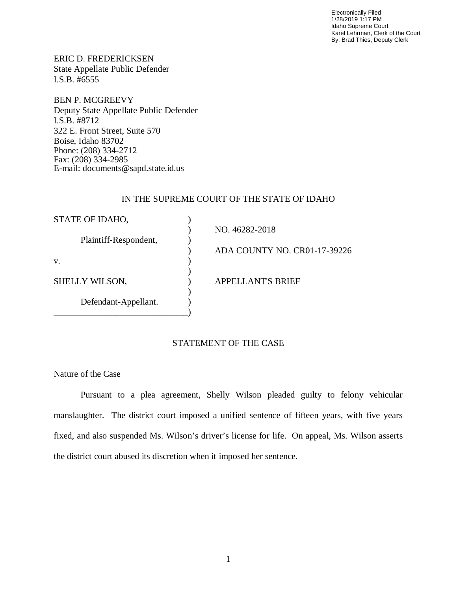Electronically Filed 1/28/2019 1:17 PM Idaho Supreme Court Karel Lehrman, Clerk of the Court By: Brad Thies, Deputy Clerk

ERIC D. FREDERICKSEN State Appellate Public Defender I.S.B. #6555

BEN P. MCGREEVY Deputy State Appellate Public Defender I.S.B. #8712 322 E. Front Street, Suite 570 Boise, Idaho 83702 Phone: (208) 334-2712 Fax: (208) 334-2985 E-mail: documents@sapd.state.id.us

### IN THE SUPREME COURT OF THE STATE OF IDAHO

| STATE OF IDAHO,       |                              |
|-----------------------|------------------------------|
|                       | NO. 46282-2018               |
| Plaintiff-Respondent, |                              |
|                       | ADA COUNTY NO. CR01-17-39226 |
| V.                    |                              |
|                       |                              |
| SHELLY WILSON,        | <b>APPELLANT'S BRIEF</b>     |
|                       |                              |
| Defendant-Appellant.  |                              |
|                       |                              |

## STATEMENT OF THE CASE

## Nature of the Case

Pursuant to a plea agreement, Shelly Wilson pleaded guilty to felony vehicular manslaughter. The district court imposed a unified sentence of fifteen years, with five years fixed, and also suspended Ms. Wilson's driver's license for life. On appeal, Ms. Wilson asserts the district court abused its discretion when it imposed her sentence.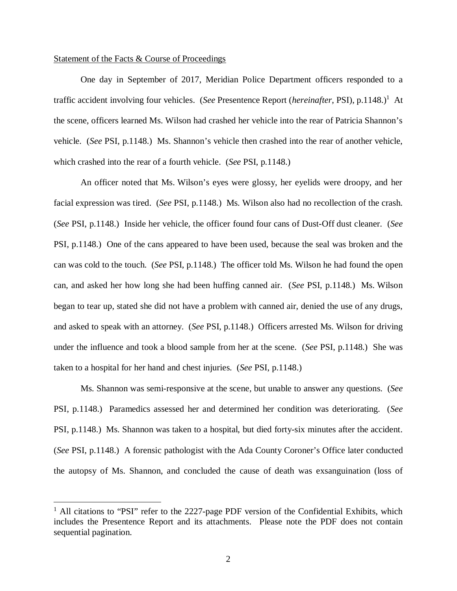#### Statement of the Facts & Course of Proceedings

One day in September of 2017, Meridian Police Department officers responded to a traffic accident involving four vehicles. (*See* Presentence Report (*hereinafter*, PSI), p.[1](#page-2-0)148.)<sup>1</sup> At the scene, officers learned Ms. Wilson had crashed her vehicle into the rear of Patricia Shannon's vehicle. (*See* PSI, p.1148.) Ms. Shannon's vehicle then crashed into the rear of another vehicle, which crashed into the rear of a fourth vehicle. (*See* PSI, p.1148.)

An officer noted that Ms. Wilson's eyes were glossy, her eyelids were droopy, and her facial expression was tired. (*See* PSI, p.1148.) Ms. Wilson also had no recollection of the crash. (*See* PSI, p.1148.) Inside her vehicle, the officer found four cans of Dust-Off dust cleaner. (*See* PSI, p.1148.) One of the cans appeared to have been used, because the seal was broken and the can was cold to the touch. (*See* PSI, p.1148.) The officer told Ms. Wilson he had found the open can, and asked her how long she had been huffing canned air. (*See* PSI, p.1148.) Ms. Wilson began to tear up, stated she did not have a problem with canned air, denied the use of any drugs, and asked to speak with an attorney. (*See* PSI, p.1148.) Officers arrested Ms. Wilson for driving under the influence and took a blood sample from her at the scene. (*See* PSI, p.1148.) She was taken to a hospital for her hand and chest injuries. (*See* PSI, p.1148.)

Ms. Shannon was semi-responsive at the scene, but unable to answer any questions. (*See* PSI, p.1148.) Paramedics assessed her and determined her condition was deteriorating. (*See* PSI, p.1148.) Ms. Shannon was taken to a hospital, but died forty-six minutes after the accident. (*See* PSI, p.1148.) A forensic pathologist with the Ada County Coroner's Office later conducted the autopsy of Ms. Shannon, and concluded the cause of death was exsanguination (loss of

<span id="page-2-0"></span><sup>&</sup>lt;sup>1</sup> All citations to "PSI" refer to the 2227-page PDF version of the Confidential Exhibits, which includes the Presentence Report and its attachments. Please note the PDF does not contain sequential pagination.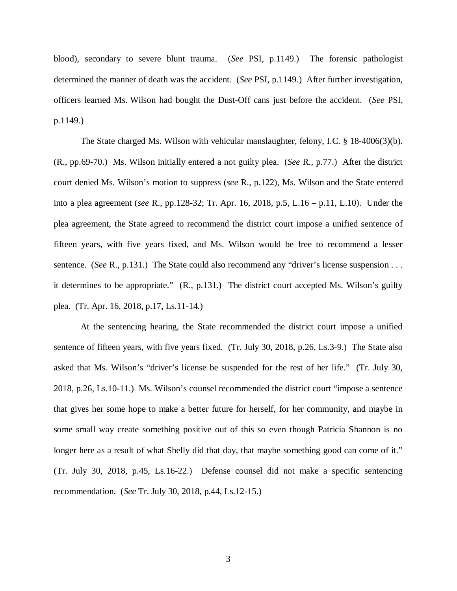blood), secondary to severe blunt trauma. (*See* PSI, p.1149.) The forensic pathologist determined the manner of death was the accident. (*See* PSI, p.1149.) After further investigation, officers learned Ms. Wilson had bought the Dust-Off cans just before the accident. (*See* PSI, p.1149.)

The State charged Ms. Wilson with vehicular manslaughter, felony, I.C. § 18-4006(3)(b). (R., pp.69-70.) Ms. Wilson initially entered a not guilty plea. (*See* R., p.77.) After the district court denied Ms. Wilson's motion to suppress (*see* R., p.122), Ms. Wilson and the State entered into a plea agreement (*see* R., pp.128-32; Tr. Apr. 16, 2018, p.5, L.16 – p.11, L.10). Under the plea agreement, the State agreed to recommend the district court impose a unified sentence of fifteen years, with five years fixed, and Ms. Wilson would be free to recommend a lesser sentence. (*See* R., p.131.) The State could also recommend any "driver's license suspension . . . it determines to be appropriate." (R., p.131.) The district court accepted Ms. Wilson's guilty plea. (Tr. Apr. 16, 2018, p.17, Ls.11-14.)

At the sentencing hearing, the State recommended the district court impose a unified sentence of fifteen years, with five years fixed. (Tr. July 30, 2018, p.26, Ls.3-9.) The State also asked that Ms. Wilson's "driver's license be suspended for the rest of her life." (Tr. July 30, 2018, p.26, Ls.10-11.) Ms. Wilson's counsel recommended the district court "impose a sentence that gives her some hope to make a better future for herself, for her community, and maybe in some small way create something positive out of this so even though Patricia Shannon is no longer here as a result of what Shelly did that day, that maybe something good can come of it." (Tr. July 30, 2018, p.45, Ls.16-22.) Defense counsel did not make a specific sentencing recommendation. (*See* Tr. July 30, 2018, p.44, Ls.12-15.)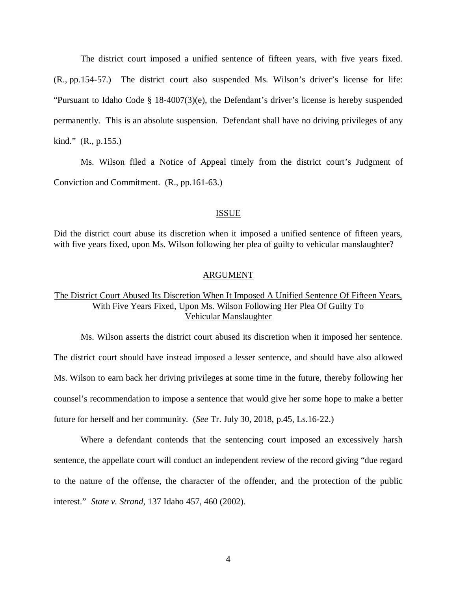The district court imposed a unified sentence of fifteen years, with five years fixed. (R., pp.154-57.) The district court also suspended Ms. Wilson's driver's license for life: "Pursuant to Idaho Code § 18-4007(3)(e), the Defendant's driver's license is hereby suspended permanently. This is an absolute suspension. Defendant shall have no driving privileges of any kind." (R., p.155.)

Ms. Wilson filed a Notice of Appeal timely from the district court's Judgment of Conviction and Commitment. (R., pp.161-63.)

#### ISSUE

Did the district court abuse its discretion when it imposed a unified sentence of fifteen years, with five years fixed, upon Ms. Wilson following her plea of guilty to vehicular manslaughter?

#### ARGUMENT

## The District Court Abused Its Discretion When It Imposed A Unified Sentence Of Fifteen Years, With Five Years Fixed, Upon Ms. Wilson Following Her Plea Of Guilty To Vehicular Manslaughter

Ms. Wilson asserts the district court abused its discretion when it imposed her sentence. The district court should have instead imposed a lesser sentence, and should have also allowed Ms. Wilson to earn back her driving privileges at some time in the future, thereby following her counsel's recommendation to impose a sentence that would give her some hope to make a better future for herself and her community. (*See* Tr. July 30, 2018, p.45, Ls.16-22.)

Where a defendant contends that the sentencing court imposed an excessively harsh sentence, the appellate court will conduct an independent review of the record giving "due regard to the nature of the offense, the character of the offender, and the protection of the public interest." *State v. Strand*, 137 Idaho 457, 460 (2002).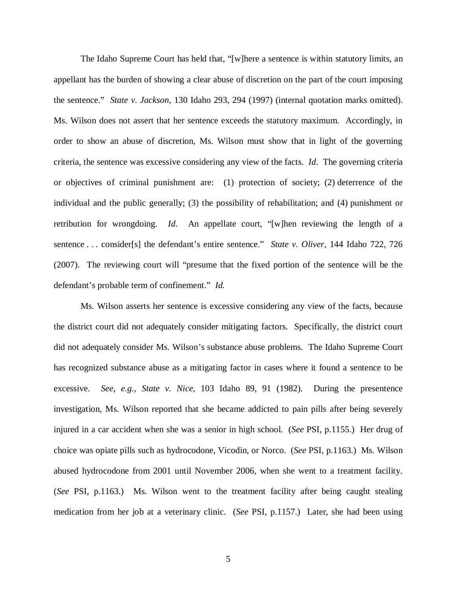The Idaho Supreme Court has held that, "[w]here a sentence is within statutory limits, an appellant has the burden of showing a clear abuse of discretion on the part of the court imposing the sentence." *State v. Jackson*, 130 Idaho 293, 294 (1997) (internal quotation marks omitted). Ms. Wilson does not assert that her sentence exceeds the statutory maximum. Accordingly, in order to show an abuse of discretion, Ms. Wilson must show that in light of the governing criteria, the sentence was excessive considering any view of the facts. *Id*. The governing criteria or objectives of criminal punishment are: (1) protection of society; (2) deterrence of the individual and the public generally; (3) the possibility of rehabilitation; and (4) punishment or retribution for wrongdoing. *Id*. An appellate court, "[w]hen reviewing the length of a sentence . . . consider[s] the defendant's entire sentence." *State v. Oliver*, 144 Idaho 722, 726 (2007). The reviewing court will "presume that the fixed portion of the sentence will be the defendant's probable term of confinement." *Id.*

Ms. Wilson asserts her sentence is excessive considering any view of the facts, because the district court did not adequately consider mitigating factors. Specifically, the district court did not adequately consider Ms. Wilson's substance abuse problems. The Idaho Supreme Court has recognized substance abuse as a mitigating factor in cases where it found a sentence to be excessive. *See, e.g.*, *State v. Nice*, 103 Idaho 89, 91 (1982). During the presentence investigation, Ms. Wilson reported that she became addicted to pain pills after being severely injured in a car accident when she was a senior in high school. (*See* PSI, p.1155.) Her drug of choice was opiate pills such as hydrocodone, Vicodin, or Norco. (*See* PSI, p.1163.) Ms. Wilson abused hydrocodone from 2001 until November 2006, when she went to a treatment facility. (*See* PSI, p.1163.) Ms. Wilson went to the treatment facility after being caught stealing medication from her job at a veterinary clinic. (*See* PSI, p.1157.) Later, she had been using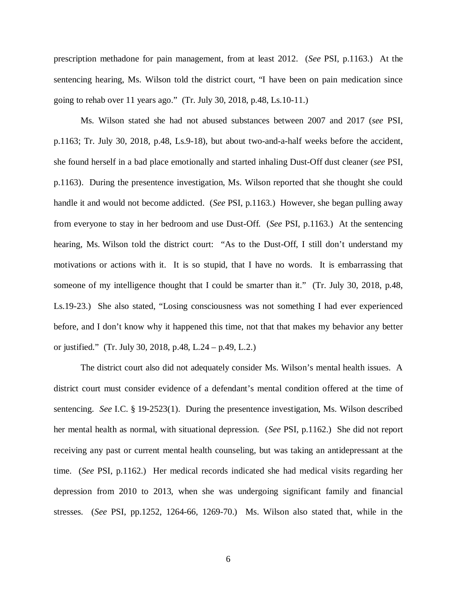prescription methadone for pain management, from at least 2012. (*See* PSI, p.1163.) At the sentencing hearing, Ms. Wilson told the district court, "I have been on pain medication since going to rehab over 11 years ago." (Tr. July 30, 2018, p.48, Ls.10-11.)

Ms. Wilson stated she had not abused substances between 2007 and 2017 (*see* PSI, p.1163; Tr. July 30, 2018, p.48, Ls.9-18), but about two-and-a-half weeks before the accident, she found herself in a bad place emotionally and started inhaling Dust-Off dust cleaner (*see* PSI, p.1163). During the presentence investigation, Ms. Wilson reported that she thought she could handle it and would not become addicted. (*See* PSI, p.1163.) However, she began pulling away from everyone to stay in her bedroom and use Dust-Off. (*See* PSI, p.1163.) At the sentencing hearing, Ms. Wilson told the district court: "As to the Dust-Off, I still don't understand my motivations or actions with it. It is so stupid, that I have no words. It is embarrassing that someone of my intelligence thought that I could be smarter than it." (Tr. July 30, 2018, p.48, Ls.19-23.) She also stated, "Losing consciousness was not something I had ever experienced before, and I don't know why it happened this time, not that that makes my behavior any better or justified." (Tr. July 30, 2018, p.48, L.24 – p.49, L.2.)

The district court also did not adequately consider Ms. Wilson's mental health issues. A district court must consider evidence of a defendant's mental condition offered at the time of sentencing. *See* I.C. § 19-2523(1). During the presentence investigation, Ms. Wilson described her mental health as normal, with situational depression. (*See* PSI, p.1162.) She did not report receiving any past or current mental health counseling, but was taking an antidepressant at the time. (*See* PSI, p.1162.) Her medical records indicated she had medical visits regarding her depression from 2010 to 2013, when she was undergoing significant family and financial stresses. (*See* PSI, pp.1252, 1264-66, 1269-70.) Ms. Wilson also stated that, while in the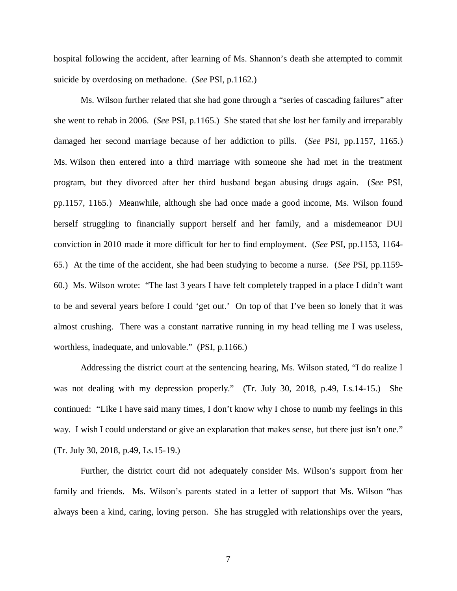hospital following the accident, after learning of Ms. Shannon's death she attempted to commit suicide by overdosing on methadone. (*See* PSI, p.1162.)

Ms. Wilson further related that she had gone through a "series of cascading failures" after she went to rehab in 2006. (*See* PSI, p.1165.) She stated that she lost her family and irreparably damaged her second marriage because of her addiction to pills. (*See* PSI, pp.1157, 1165.) Ms. Wilson then entered into a third marriage with someone she had met in the treatment program, but they divorced after her third husband began abusing drugs again. (*See* PSI, pp.1157, 1165.) Meanwhile, although she had once made a good income, Ms. Wilson found herself struggling to financially support herself and her family, and a misdemeanor DUI conviction in 2010 made it more difficult for her to find employment. (*See* PSI, pp.1153, 1164- 65.) At the time of the accident, she had been studying to become a nurse. (*See* PSI, pp.1159- 60.) Ms. Wilson wrote: "The last 3 years I have felt completely trapped in a place I didn't want to be and several years before I could 'get out.' On top of that I've been so lonely that it was almost crushing. There was a constant narrative running in my head telling me I was useless, worthless, inadequate, and unlovable." (PSI, p.1166.)

Addressing the district court at the sentencing hearing, Ms. Wilson stated, "I do realize I was not dealing with my depression properly." (Tr. July 30, 2018, p.49, Ls.14-15.) She continued: "Like I have said many times, I don't know why I chose to numb my feelings in this way. I wish I could understand or give an explanation that makes sense, but there just isn't one." (Tr. July 30, 2018, p.49, Ls.15-19.)

Further, the district court did not adequately consider Ms. Wilson's support from her family and friends. Ms. Wilson's parents stated in a letter of support that Ms. Wilson "has always been a kind, caring, loving person. She has struggled with relationships over the years,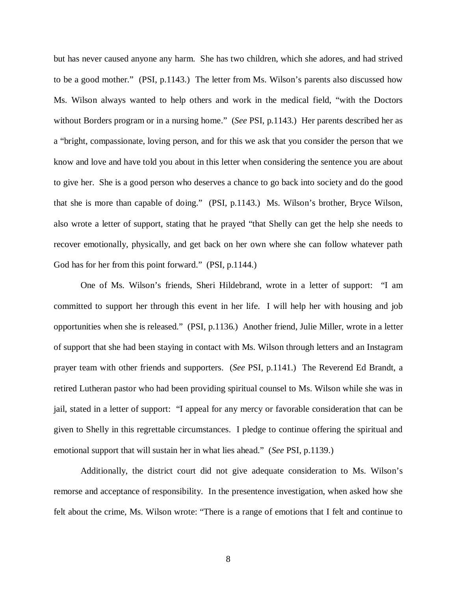but has never caused anyone any harm. She has two children, which she adores, and had strived to be a good mother." (PSI, p.1143.) The letter from Ms. Wilson's parents also discussed how Ms. Wilson always wanted to help others and work in the medical field, "with the Doctors without Borders program or in a nursing home." (*See* PSI, p.1143.) Her parents described her as a "bright, compassionate, loving person, and for this we ask that you consider the person that we know and love and have told you about in this letter when considering the sentence you are about to give her. She is a good person who deserves a chance to go back into society and do the good that she is more than capable of doing." (PSI, p.1143.) Ms. Wilson's brother, Bryce Wilson, also wrote a letter of support, stating that he prayed "that Shelly can get the help she needs to recover emotionally, physically, and get back on her own where she can follow whatever path God has for her from this point forward." (PSI, p.1144.)

One of Ms. Wilson's friends, Sheri Hildebrand, wrote in a letter of support: "I am committed to support her through this event in her life. I will help her with housing and job opportunities when she is released." (PSI, p.1136.) Another friend, Julie Miller, wrote in a letter of support that she had been staying in contact with Ms. Wilson through letters and an Instagram prayer team with other friends and supporters. (*See* PSI, p.1141.) The Reverend Ed Brandt, a retired Lutheran pastor who had been providing spiritual counsel to Ms. Wilson while she was in jail, stated in a letter of support: "I appeal for any mercy or favorable consideration that can be given to Shelly in this regrettable circumstances. I pledge to continue offering the spiritual and emotional support that will sustain her in what lies ahead." (*See* PSI, p.1139.)

Additionally, the district court did not give adequate consideration to Ms. Wilson's remorse and acceptance of responsibility. In the presentence investigation, when asked how she felt about the crime, Ms. Wilson wrote: "There is a range of emotions that I felt and continue to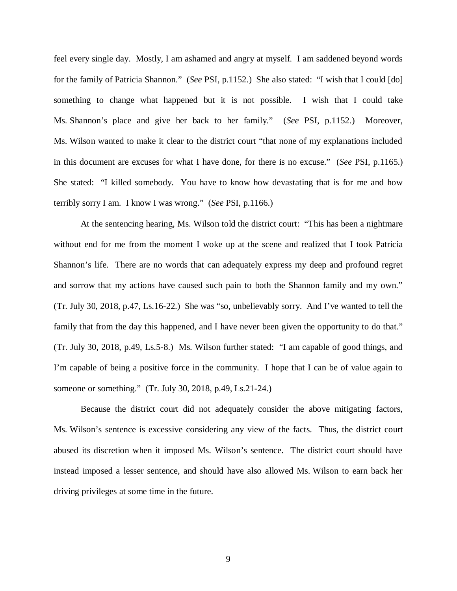feel every single day. Mostly, I am ashamed and angry at myself. I am saddened beyond words for the family of Patricia Shannon." (*See* PSI, p.1152.) She also stated: "I wish that I could [do] something to change what happened but it is not possible. I wish that I could take Ms. Shannon's place and give her back to her family." (*See* PSI, p.1152.) Moreover, Ms. Wilson wanted to make it clear to the district court "that none of my explanations included in this document are excuses for what I have done, for there is no excuse." (*See* PSI, p.1165.) She stated: "I killed somebody. You have to know how devastating that is for me and how terribly sorry I am. I know I was wrong." (*See* PSI, p.1166.)

At the sentencing hearing, Ms. Wilson told the district court: "This has been a nightmare without end for me from the moment I woke up at the scene and realized that I took Patricia Shannon's life. There are no words that can adequately express my deep and profound regret and sorrow that my actions have caused such pain to both the Shannon family and my own." (Tr. July 30, 2018, p.47, Ls.16-22.) She was "so, unbelievably sorry. And I've wanted to tell the family that from the day this happened, and I have never been given the opportunity to do that." (Tr. July 30, 2018, p.49, Ls.5-8.) Ms. Wilson further stated: "I am capable of good things, and I'm capable of being a positive force in the community. I hope that I can be of value again to someone or something." (Tr. July 30, 2018, p.49, Ls.21-24.)

Because the district court did not adequately consider the above mitigating factors, Ms. Wilson's sentence is excessive considering any view of the facts. Thus, the district court abused its discretion when it imposed Ms. Wilson's sentence. The district court should have instead imposed a lesser sentence, and should have also allowed Ms. Wilson to earn back her driving privileges at some time in the future.